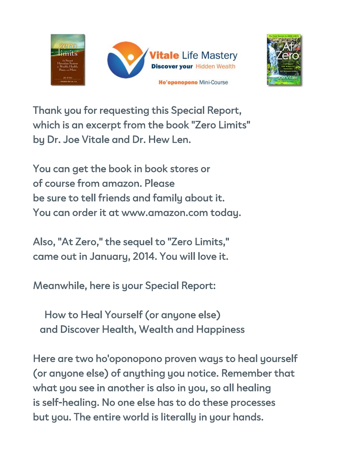



Thank you for requesting this Special Report, which is an excerpt from the book "Zero Limits" by Dr. Joe Vitale and Dr. Hew Len.

You can get the book in book stores or of course from amazon. Please be sure to tell friends and family about it. You can order it at www.amazon.com today.

Also, "At Zero," the sequel to "Zero Limits," came out in January, 2014. You will love it.

Meanwhile, here is your Special Report:

How to Heal Yourself (or anyone else) and Discover Health, Wealth and Happiness

Here are two ho'oponopono proven ways to heal yourself (or anyone else) of anything you notice. Remember that what you see in another is also in you, so all healing is self-healing. No one else has to do these processes but you. The entire world is literally in your hands.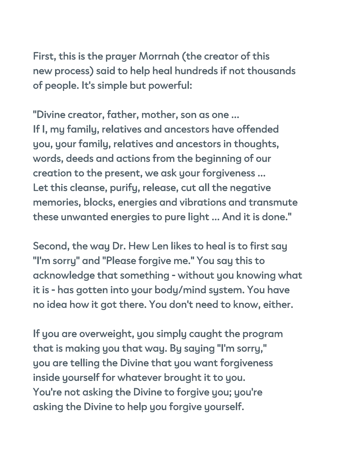First, this is the prayer Morrnah (the creator of this new process) said to help heal hundreds if not thousands of people. It's simple but powerful:

"Divine creator, father, mother, son as one ... If I, my family, relatives and ancestors have offended you, your family, relatives and ancestors in thoughts, words, deeds and actions from the beginning of our creation to the present, we ask your forgiveness ... Let this cleanse, purify, release, cut all the negative memories, blocks, energies and vibrations and transmute these unwanted energies to pure light ... And it is done."

Second, the way Dr. Hew Len likes to heal is to first say "I'm sorry" and "Please forgive me." You say this to acknowledge that something - without you knowing what it is - has gotten into your body/mind system. You have no idea how it got there. You don't need to know, either.

If you are overweight, you simply caught the program that is making you that way. By saying "I'm sorry," you are telling the Divine that you want forgiveness inside yourself for whatever brought it to you. You're not asking the Divine to forgive you; you're asking the Divine to help you forgive yourself.